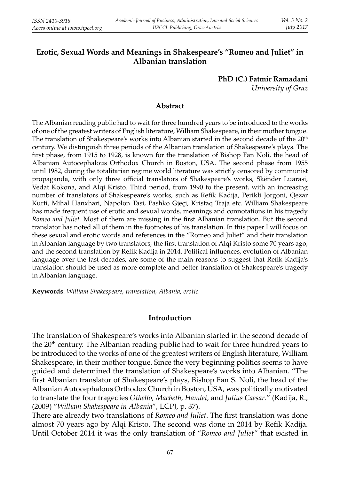# **Erotic, Sexual Words and Meanings in Shakespeare's "Romeo and Juliet" in Albanian translation**

**PhD (C.) Fatmir Ramadani**

*University of Graz*

### **Abstract**

The Albanian reading public had to wait for three hundred years to be introduced to the works of one of the greatest writers of English literature, William Shakespeare, in their mother tongue. The translation of Shakespeare's works into Albanian started in the second decade of the  $20<sup>th</sup>$ century. We distinguish three periods of the Albanian translation of Shakespeare's plays. The first phase, from 1915 to 1928, is known for the translation of Bishop Fan Noli, the head of Albanian Autocephalous Orthodox Church in Boston, USA. The second phase from 1955 until 1982, during the totalitarian regime world literature was strictly censored by communist propaganda, with only three official translators of Shakespeare's works, Skënder Luarasi, Vedat Kokona, and Alqi Kristo. Third period, from 1990 to the present, with an increasing number of translators of Shakespeare's works, such as Refik Kadija, Perikli Jorgoni, Qezar Kurti, Mihal Hanxhari, Napolon Tasi, Pashko Gjeçi, Kristaq Traja etc. William Shakespeare has made frequent use of erotic and sexual words, meanings and connotations in his tragedy *Romeo and Juliet.* Most of them are missing in the first Albanian translation. But the second translator has noted all of them in the footnotes of his translation. In this paper I will focus on these sexual and erotic words and references in the "Romeo and Juliet" and their translation in Albanian language by two translators, the first translation of Alqi Kristo some 70 years ago, and the second translation by Refik Kadija in 2014. Political influences, evolution of Albanian language over the last decades, are some of the main reasons to suggest that Refik Kadija's translation should be used as more complete and better translation of Shakespeare's tragedy in Albanian language.

**Keywords**: *William Shakespeare, translation, Albania, erotic.*

### **Introduction**

The translation of Shakespeare's works into Albanian started in the second decade of the  $20<sup>th</sup>$  century. The Albanian reading public had to wait for three hundred years to be introduced to the works of one of the greatest writers of English literature, William Shakespeare, in their mother tongue. Since the very beginning politics seems to have guided and determined the translation of Shakespeare's works into Albanian. "The first Albanian translator of Shakespeare's plays, Bishop Fan S. Noli, the head of the Albanian Autocephalous Orthodox Church in Boston, USA, was politically motivated to translate the four tragedies *Othello, Macbeth, Hamlet, and Julius Caesar.*" (Kadija, R., (2009) "*William Shakespeare in Albania*", LCPJ, p. 37).

There are already two translations of *Romeo and Juliet*. The first translation was done almost 70 years ago by Alqi Kristo. The second was done in 2014 by Refik Kadija. Until October 2014 it was the only translation of "*Romeo and Juliet"* that existed in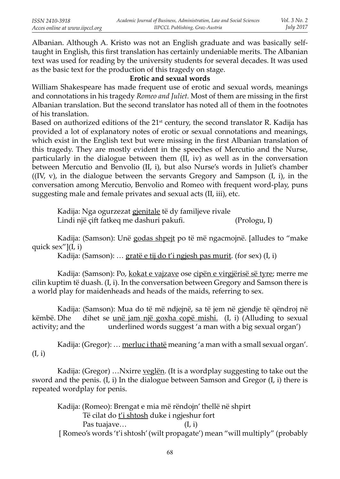Albanian. Although A. Kristo was not an English graduate and was basically selftaught in English, this first translation has certainly undeniable merits. The Albanian text was used for reading by the university students for several decades. It was used as the basic text for the production of this tragedy on stage.

## **Erotic and sexual words**

William Shakespeare has made frequent use of erotic and sexual words, meanings and connotations in his tragedy *Romeo and Juliet*. Most of them are missing in the first Albanian translation. But the second translator has noted all of them in the footnotes of his translation.

Based on authorized editions of the  $21<sup>st</sup>$  century, the second translator R. Kadija has provided a lot of explanatory notes of erotic or sexual connotations and meanings, which exist in the English text but were missing in the first Albanian translation of this tragedy. They are mostly evident in the speeches of Mercutio and the Nurse, particularly in the dialogue between them (II, iv) as well as in the conversation between Mercutio and Benvolio (II, i), but also Nurse's words in Juliet's chamber  $((IV, V),$  in the dialogue between the servants Gregory and Sampson  $(I, i)$ , in the conversation among Mercutio, Benvolio and Romeo with frequent word-play, puns suggesting male and female privates and sexual acts (II, iii), etc.

Kadija: Nga ogurzezat gjenitale të dy familjeve rivale Lindi një çift fatkeq me dashuri pakufi. (Prologu, I)

Kadija: (Samson): Unë godas shpejt po të më ngacmojnë. [alludes to "make quick  $sex''$ ](I, i)

Kadija: (Samson): ... gratë e tij do t'i ngjesh pas murit. (for sex)  $(I, i)$ 

Kadija: (Samson): Po, kokat e vajzave ose cipën e virgjërisë së tyre; merre me cilin kuptim të duash. (I, i). In the conversation between Gregory and Samson there is a world play for maidenheads and heads of the maids, referring to sex.

Kadija: (Samson): Mua do të më ndjejnë, sa të jem në gjendje të qëndroj në këmbë. Dhe dihet se <u>unë jam një goxha copë mishi.</u> (I, i) (Alluding to sexual activity; and the underlined words suggest 'a man with a big sexual organ')

Kadija: (Gregor): ... merluc i thatë meaning 'a man with a small sexual organ'. (I, i)

Kadija: (Gregor) ... Nxirre veglën. (It is a wordplay suggesting to take out the sword and the penis. (I, i) In the dialogue between Samson and Gregor (I, i) there is repeated wordplay for penis.

Kadija: (Romeo): Brengat e mia më rëndojn' thellë në shpirt Të cilat do t'i shtosh duke i ngjeshur fort Pas tuajave… (I, i) [ Romeo's words 't'i shtosh' (wilt propagate') mean "will multiply" (probably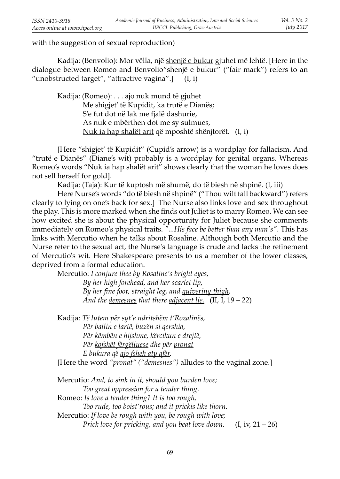with the suggestion of sexual reproduction)

Kadija: (Benvolio): Mor vëlla, një shenjë e bukur gjuhet më lehtë. [Here in the dialogue between Romeo and Benvolio"shenjë e bukur" ("fair mark") refers to an "unobstructed target", "attractive vagina".] (I, i)

Kadija: (Romeo): . . . ajo nuk mund të gjuhet Me shigjet' të Kupidit, ka trutë e Dianës; S'e fut dot në lak me fjalë dashurie, As nuk e mbërthen dot me sy sulmues, Nuk ia hap shalët arit që mposhtë shënjtorët. (I, i)

 [Here "shigjet' të Kupidit" (Cupid's arrow) is a wordplay for fallacism. And "trutë e Dianës" (Diane's wit) probably is a wordplay for genital organs. Whereas Romeo's words "Nuk ia hap shalët arit" shows clearly that the woman he loves does not sell herself for gold].

Kadija: (Taja): Kur të kuptosh më shumë, do të biesh në shpinë. (I, iii)

 Here Nurse's words "do të biesh në shpinë" ("Thou wilt fall backward") refers clearly to lying on one's back for sex.] The Nurse also links love and sex throughout the play. This is more marked when she finds out Juliet is to marry Romeo. We can see how excited she is about the physical opportunity for Juliet because she comments immediately on Romeo's physical traits. "...His face be better than any man's". This has links with Mercutio when he talks about Rosaline. Although both Mercutio and the Nurse refer to the sexual act, the Nurse's language is crude and lacks the refinement of Mercutio's wit. Here Shakespeare presents to us a member of the lower classes, deprived from a formal education.

Mercutio: *I conjure thee by Rosaline's bright eyes,*

 *By her high forehead, and her scarlet lip,* By her fine foot, straight leg, and *quivering thigh*,  *And the demesnes that there adjacent lie.* (II, I, 19 – 22)

Kadija: *Të lutem për syt'e ndritshëm t'Rozalinës*,  *Për ballin e lartë, buzën si qershia, Për këmbën e hij shme, kërcikun e drejtë, Për kofshët fërgëlluese dhe për pronat E bukura që ajo fsheh aty afër.* [Here the word *"pronat" ("demesnes")* alludes to the vaginal zone.]

 Mercutio: *And, to sink in it, should you burden love; Too great oppression for a tender thing.* Romeo: *Is love a tender thing? It is too rough, Too rude, too boist'rous; and it prickis like thorn.* Mercutio: *If love be rough with you, be rough with love; Prick love for pricking, and you beat love down.* (I, iv, 21 – 26)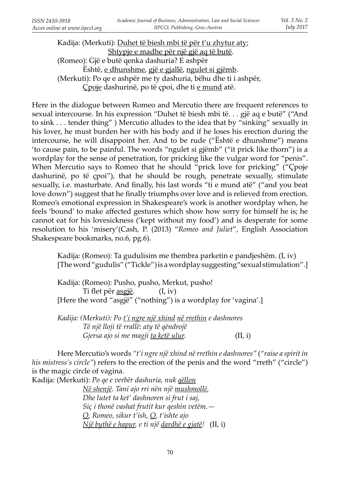Kadija: (Merkuti): Duhet të biesh mbi të për t'u zhytur aty; Shtypje e madhe për një gjë aq të butë. (Romeo): Gjë e butë qenka dashuria? E ashpër Është, e dhunshme, gjë e gjallë, ngulet si gjëmb. (Merkuti): Po qe e ashpër me ty dashuria, bëhu dhe ti i ashpër, Çpoje dashurinë, po të çpoi, dhe ti e mund atë.

Here in the dialogue between Romeo and Mercutio there are frequent references to sexual intercourse. In his expression "Duhet të biesh mbi të. . . gjë aq e butë" ("And to sink . . . tender thing" ) Mercutio alludes to the idea that by "sinking" sexually in his lover, he must burden her with his body and if he loses his erection during the intercourse, he will disappoint her. And to be rude ("Është e dhunshme") means 'to cause pain, to be painful. The words "ngulet si gjëmb" ("it prick like thorn") is a wordplay for the sense of penetration, for pricking like the vulgar word for "penis". When Mercutio says to Romeo that he should "prick love for pricking" ("Cpoje dashurinë, po të çpoi"), that he should be rough, penetrate sexually, stimulate sexually, i.e. masturbate. And finally, his last words "ti e mund atë" ("and you beat love down") suggest that he finally triumphs over love and is relieved from erection. Romeo's emotional expression in Shakespeare's work is another wordplay when, he feels 'bound' to make affected gestures which show how sorry for himself he is; he cannot eat for his lovesickness ('kept without my food') and is desperate for some resolution to his 'misery'(Cash, P. (2013) "*Romeo and Juliet*", English Association Shakespeare bookmarks, no.6, pg.6).

Kadija: (Romeo): Ta gudulisim me thembra parketin e pandjeshëm. (I, iv) [The word "gudulis" ("Tickle") is a wordplay suggesting" sexual stimulation".]

Kadija: (Romeo): Pusho, pusho, Merkut, pusho! Ti flet për  $\frac{agg i}{e}$ . (I, iv) [Here the word "asgjë" ("nothing") is a wordplay for 'vagina'.]

 *Kadij a: (Merkuti): Po t'i ngre një xhind në rrethin e dashnores Të një lloji të rrallë: aty të qëndrojë Gjersa ajo si me magji ta ketë ulur.* (II, i)

 Here Mercutio's words *"t'i ngre një xhind në rrethin e dashnores"* (*"raise a spirit in his mistress's circle"*) refers to the erection of the penis and the word "rreth" ("circle") is the magic circle of vagina.

Kadija: (Merkuti): Po qe e verbër dashuria, nuk <u>qëllon</u>

 *Në shenjë. Tani ajo rri nën një mushmollë, Dhe lutet ta ket' dashnoren si frut i saj, Siç i thonë vashat frutit kur qeshin vetëm.— O, Romeo, sikur t'ish, O, t'ishte ajo Një bythë e hapur, e ti një dardhë e gjatë!* (II, i)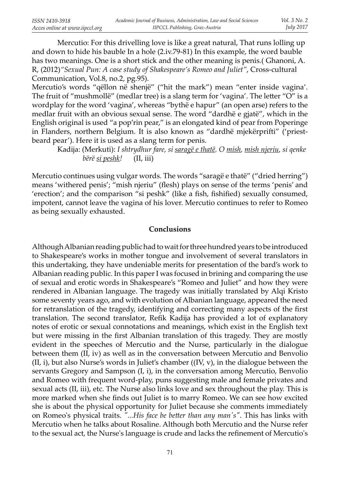Mercutio: For this drivelling love is like a great natural, That runs lolling up and down to hide his bauble In a hole (2.iv.79-81) In this example, the word bauble has two meanings. One is a short stick and the other meaning is penis.( Ghanoni, A. R, (2012)*"Sexual Pun: A case study of Shakespeare's Romeo and Juliet"*, Cross-cultural Communication, Vol.8, no.2, pg.95).

Mercutio's words "qëllon në shenjë" ("hit the mark") mean "enter inside vagina'. The fruit of "mushmollë" (medlar tree) is a slang term for 'vagina'. The letter " $O$ " is a wordplay for the word 'vagina', whereas "bythë e hapur" (an open arse) refers to the medlar fruit with an obvious sexual sense. The word "dardhë e gjatë", which in the English original is used "a pop'rin pear," is an elongated kind of pear from Poperinge in Flanders, northern Belgium. It is also known as "dardhë mjekërprifti" ('priestbeard pear'). Here it is used as a slang term for penis.

Kadija: (Merkuti): *I shtrydhur fare, si saragë e thatë. O mish, mish njeriu, si qenke bërë si peshk!* (II, iii)

Mercutio continues using vulgar words. The words "saragë e thatë" ("dried herring") means 'withered penis'; "mish njeriu" (flesh) plays on sense of the terms 'penis' and 'erection'; and the comparison "si peshk" (like a fish, fishified) sexually consumed, impotent, cannot leave the vagina of his lover. Mercutio continues to refer to Romeo as being sexually exhausted.

## **Conclusions**

Although Albanian reading public had to wait for three hundred years to be introduced to Shakespeare's works in mother tongue and involvement of several translators in this undertaking, they have undeniable merits for presentation of the bard's work to Albanian reading public. In this paper I was focused in brining and comparing the use of sexual and erotic words in Shakespeare's "Romeo and Juliet" and how they were rendered in Albanian language. The tragedy was initially translated by Alqi Kristo some seventy years ago, and with evolution of Albanian language, appeared the need for retranslation of the tragedy, identifying and correcting many aspects of the first translation. The second translator, Refik Kadija has provided a lot of explanatory notes of erotic or sexual connotations and meanings, which exist in the English text but were missing in the first Albanian translation of this tragedy. They are mostly evident in the speeches of Mercutio and the Nurse, particularly in the dialogue between them (II, iv) as well as in the conversation between Mercutio and Benvolio  $(II, i)$ , but also Nurse's words in Juliet's chamber  $((IV, v)$ , in the dialogue between the servants Gregory and Sampson (I, i), in the conversation among Mercutio, Benvolio and Romeo with frequent word-play, puns suggesting male and female privates and sexual acts (II, iii), etc. The Nurse also links love and sex throughout the play. This is more marked when she finds out Juliet is to marry Romeo. We can see how excited she is about the physical opportunity for Juliet because she comments immediately on Romeo's physical traits. "...His face be better than any man's". This has links with Mercutio when he talks about Rosaline. Although both Mercutio and the Nurse refer to the sexual act, the Nurse's language is crude and lacks the refinement of Mercutio's